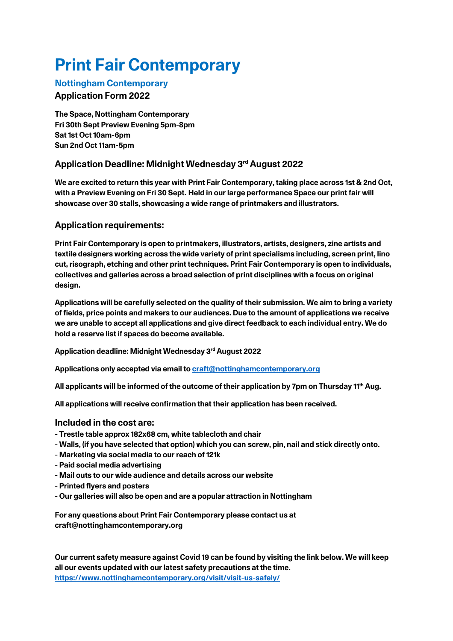# **Print Fair Contemporary**

#### **Nottingham Contemporary**

## **Application Form 2022**

**The Space, Nottingham Contemporary Fri 30th Sept Preview Evening 5pm-8pm Sat 1st Oct 10am-6pm Sun 2nd Oct 11am-5pm**

## **Application Deadline: Midnight Wednesday 3rd August 2022**

**We are excited to return this year with Print Fair Contemporary, taking place across 1st & 2nd Oct, with a Preview Evening on Fri 30 Sept. Held in our large performance Space our print fair will showcase over 30 stalls, showcasing a wide range of printmakers and illustrators.**

## **Application requirements:**

**Print Fair Contemporary is open to printmakers, illustrators, artists, designers, zine artists and textile designers working across the wide variety of print specialisms including, screen print, lino cut, risograph, etching and other print techniques. Print Fair Contemporary is open to individuals, collectives and galleries across a broad selection of print disciplines with a focus on original design.**

**Applications will be carefully selected on the quality of their submission. We aim to bring a variety of fields, price points and makers to our audiences. Due to the amount of applications we receive we are unable to accept all applications and give direct feedback to each individual entry. We do hold a reserve list if spaces do become available.**

**Application deadline: Midnight Wednesday 3rd August 2022**

**Applications only accepted via email to craft@nottinghamcontemporary.org**

**All applicants will be informed of the outcome of their application by 7pm on Thursday 11th Aug.**

**All applications will receive confirmation that their application has been received.**

## **Included in the cost are:**

- **- Trestle table approx 182x68 cm, white tablecloth and chair**
- **- Walls, (if you have selected that option) which you can screw, pin, nail and stick directly onto.**
- **- Marketing via social media to our reach of 121k**
- **- Paid social media advertising**
- **- Mail outs to our wide audience and details across our website**
- **- Printed flyers and posters**
- **- Our galleries will also be open and are a popular attraction in Nottingham**

**For any questions about Print Fair Contemporary please contact us at craft@nottinghamcontemporary.org**

**Our current safety measure against Covid 19 can be found by visiting the link below. We will keep all our events updated with our latest safety precautions at the time. https://www.nottinghamcontemporary.org/visit/visit-us-safely/**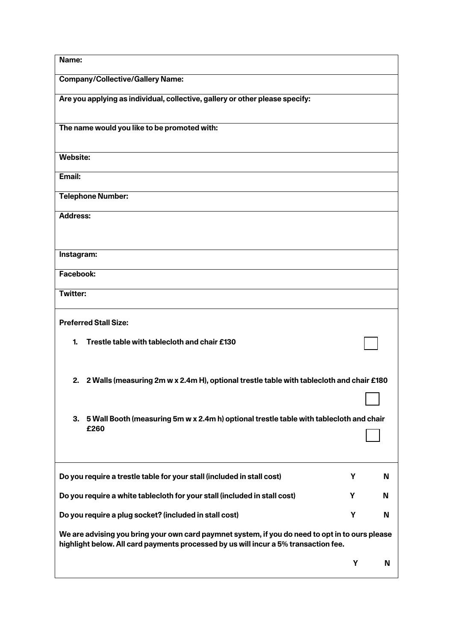| Name:                                                                                                                                                                                  |   |   |  |
|----------------------------------------------------------------------------------------------------------------------------------------------------------------------------------------|---|---|--|
| <b>Company/Collective/Gallery Name:</b>                                                                                                                                                |   |   |  |
| Are you applying as individual, collective, gallery or other please specify:                                                                                                           |   |   |  |
| The name would you like to be promoted with:                                                                                                                                           |   |   |  |
| <b>Website:</b>                                                                                                                                                                        |   |   |  |
| Email:                                                                                                                                                                                 |   |   |  |
| <b>Telephone Number:</b>                                                                                                                                                               |   |   |  |
| <b>Address:</b>                                                                                                                                                                        |   |   |  |
|                                                                                                                                                                                        |   |   |  |
| Instagram:                                                                                                                                                                             |   |   |  |
| Facebook:                                                                                                                                                                              |   |   |  |
| <b>Twitter:</b>                                                                                                                                                                        |   |   |  |
| <b>Preferred Stall Size:</b>                                                                                                                                                           |   |   |  |
| Trestle table with tablecloth and chair £130<br>1.                                                                                                                                     |   |   |  |
| 2 Walls (measuring 2m w x 2.4m H), optional trestle table with tablecloth and chair £180<br>2.                                                                                         |   |   |  |
|                                                                                                                                                                                        |   |   |  |
| 3. 5 Wall Booth (measuring 5m w x 2.4m h) optional trestle table with tablecloth and chair<br>£260                                                                                     |   |   |  |
| Do you require a trestle table for your stall (included in stall cost)                                                                                                                 | Y | N |  |
| Do you require a white tablecloth for your stall (included in stall cost)                                                                                                              | Y | N |  |
| Do you require a plug socket? (included in stall cost)                                                                                                                                 | Υ | N |  |
| We are advising you bring your own card paymnet system, if you do need to opt in to ours please<br>highlight below. All card payments processed by us will incur a 5% transaction fee. |   |   |  |
|                                                                                                                                                                                        | Υ | N |  |